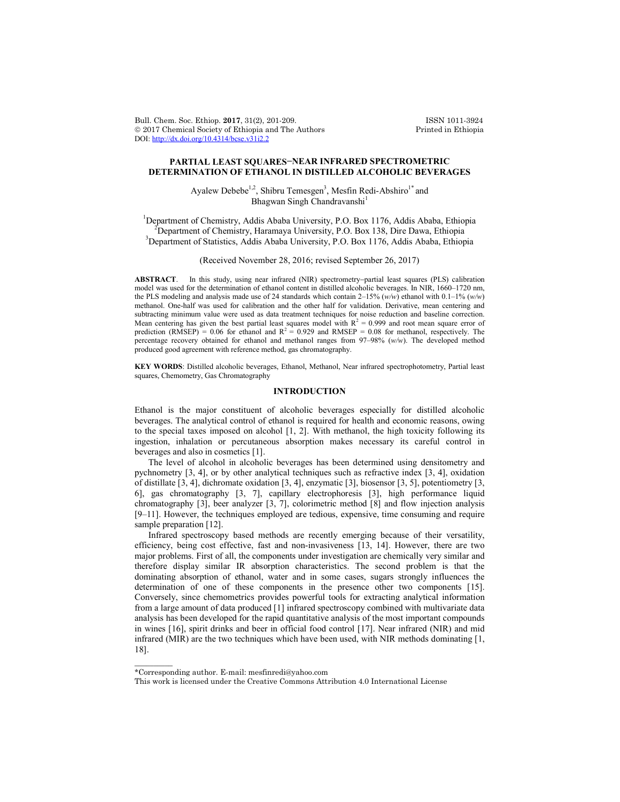Bull. Chem. Soc. Ethiop. **2017**, 31(2), 201-209. ISSN 1011-3924 2017 Chemical Society of Ethiopia and The Authors Printed in Ethiopia DOI: http://dx.doi.org/10.4314/bcse.v31i2.2

# **PARTIAL LEAST SQUARES−NEAR INFRARED SPECTROMETRIC DETERMINATION OF ETHANOL IN DISTILLED ALCOHOLIC BEVERAGES**

Ayalew Debebe<sup>1,2</sup>, Shibru Temesgen<sup>3</sup>, Mesfin Redi-Abshiro<sup>1\*</sup> and Bhagwan Singh Chandravanshi<sup>1</sup>

<sup>1</sup>Department of Chemistry, Addis Ababa University, P.O. Box 1176, Addis Ababa, Ethiopia Department of Chemistry, Haramaya University, P.O. Box 138, Dire Dawa, Ethiopia <sup>3</sup> <sup>3</sup>Department of Statistics, Addis Ababa University, P.O. Box 1176, Addis Ababa, Ethiopia

(Received November 28, 2016; revised September 26, 2017)

ABSTRACT. In this study, using near infrared (NIR) spectrometry-partial least squares (PLS) calibration model was used for the determination of ethanol content in distilled alcoholic beverages. In NIR, 1660–1720 nm, the PLS modeling and analysis made use of 24 standards which contain 2–15% (*w/w*) ethanol with 0.1–1% (*w/w*) methanol. One-half was used for calibration and the other half for validation. Derivative, mean centering and subtracting minimum value were used as data treatment techniques for noise reduction and baseline correction. Mean centering has given the best partial least squares model with  $R^2 = 0.999$  and root mean square error of prediction (RMSEP) = 0.06 for ethanol and  $R^2 = 0.929$  and RMSEP = 0.08 for methanol, respectively. The percentage recovery obtained for ethanol and methanol ranges from 97–98% (*w/w*). The developed method produced good agreement with reference method, gas chromatography.

**KEY WORDS**: Distilled alcoholic beverages, Ethanol, Methanol, Near infrared spectrophotometry, Partial least squares, Chemometry, Gas Chromatography

## **INTRODUCTION**

Ethanol is the major constituent of alcoholic beverages especially for distilled alcoholic beverages. The analytical control of ethanol is required for health and economic reasons, owing to the special taxes imposed on alcohol [1, 2]. With methanol, the high toxicity following its ingestion, inhalation or percutaneous absorption makes necessary its careful control in beverages and also in cosmetics [1].

The level of alcohol in alcoholic beverages has been determined using densitometry and pychnometry [3, 4], or by other analytical techniques such as refractive index [3, 4], oxidation of distillate [3, 4], dichromate oxidation [3, 4], enzymatic [3], biosensor [3, 5], potentiometry [3, 6], gas chromatography [3, 7], capillary electrophoresis [3], high performance liquid chromatography [3], beer analyzer [3, 7], colorimetric method [8] and flow injection analysis [9–11]. However, the techniques employed are tedious, expensive, time consuming and require sample preparation [12].

Infrared spectroscopy based methods are recently emerging because of their versatility, efficiency, being cost effective, fast and non-invasiveness [13, 14]. However, there are two major problems. First of all, the components under investigation are chemically very similar and therefore display similar IR absorption characteristics. The second problem is that the dominating absorption of ethanol, water and in some cases, sugars strongly influences the determination of one of these components in the presence other two components [15]. Conversely, since chemometrics provides powerful tools for extracting analytical information from a large amount of data produced [1] infrared spectroscopy combined with multivariate data analysis has been developed for the rapid quantitative analysis of the most important compounds in wines [16], spirit drinks and beer in official food control [17]. Near infrared (NIR) and mid infrared (MIR) are the two techniques which have been used, with NIR methods dominating  $[1, 1]$ 18].

 $\overline{\phantom{a}}$ 

<sup>\*</sup>Corresponding author. E-mail: mesfinredi@yahoo.com

This work is licensed under the Creative Commons Attribution 4.0 International License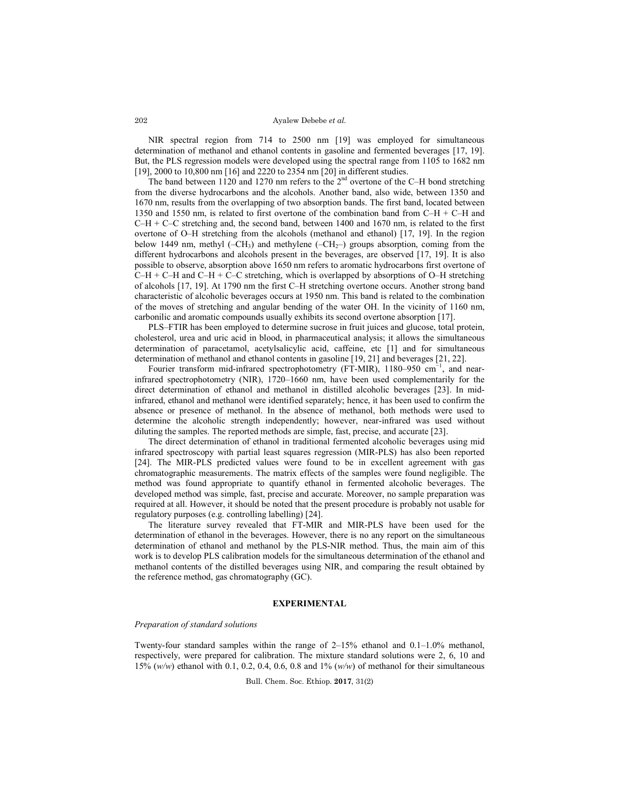Ayalew Debebe *et al.*

NIR spectral region from 714 to 2500 nm [19] was employed for simultaneous determination of methanol and ethanol contents in gasoline and fermented beverages [17, 19]. But, the PLS regression models were developed using the spectral range from 1105 to 1682 nm [19], 2000 to 10,800 nm [16] and 2220 to 2354 nm [20] in different studies.

The band between 1120 and 1270 nm refers to the  $2<sup>nd</sup>$  overtone of the C–H bond stretching from the diverse hydrocarbons and the alcohols. Another band, also wide, between 1350 and 1670 nm, results from the overlapping of two absorption bands. The first band, located between 1350 and 1550 nm, is related to first overtone of the combination band from C–H + C–H and  $C-H + C-C$  stretching and, the second band, between 1400 and 1670 nm, is related to the first overtone of O–H stretching from the alcohols (methanol and ethanol) [17, 19]. In the region below 1449 nm, methyl  $(-CH_3)$  and methylene  $(-CH_2-)$  groups absorption, coming from the different hydrocarbons and alcohols present in the beverages, are observed [17, 19]. It is also possible to observe, absorption above 1650 nm refers to aromatic hydrocarbons first overtone of  $C-H + C-H$  and  $C-H + C-C$  stretching, which is overlapped by absorptions of O–H stretching of alcohols [17, 19]. At 1790 nm the first C–H stretching overtone occurs. Another strong band characteristic of alcoholic beverages occurs at 1950 nm. This band is related to the combination of the moves of stretching and angular bending of the water OH. In the vicinity of 1160 nm, carbonilic and aromatic compounds usually exhibits its second overtone absorption [17].

PLS–FTIR has been employed to determine sucrose in fruit juices and glucose, total protein, cholesterol, urea and uric acid in blood, in pharmaceutical analysis; it allows the simultaneous determination of paracetamol, acetylsalicylic acid, caffeine, etc [1] and for simultaneous determination of methanol and ethanol contents in gasoline [19, 21] and beverages [21, 22].

Fourier transform mid-infrared spectrophotometry (FT-MIR), 1180–950 cm<sup>-1</sup>, and nearinfrared spectrophotometry (NIR), 1720–1660 nm, have been used complementarily for the direct determination of ethanol and methanol in distilled alcoholic beverages [23]. In midinfrared, ethanol and methanol were identified separately; hence, it has been used to confirm the absence or presence of methanol. In the absence of methanol, both methods were used to determine the alcoholic strength independently; however, near-infrared was used without diluting the samples. The reported methods are simple, fast, precise, and accurate [23].

The direct determination of ethanol in traditional fermented alcoholic beverages using mid infrared spectroscopy with partial least squares regression (MIR-PLS) has also been reported [24]. The MIR-PLS predicted values were found to be in excellent agreement with gas chromatographic measurements. The matrix effects of the samples were found negligible. The method was found appropriate to quantify ethanol in fermented alcoholic beverages. The developed method was simple, fast, precise and accurate. Moreover, no sample preparation was required at all. However, it should be noted that the present procedure is probably not usable for regulatory purposes (e.g. controlling labelling) [24].

The literature survey revealed that FT-MIR and MIR-PLS have been used for the determination of ethanol in the beverages. However, there is no any report on the simultaneous determination of ethanol and methanol by the PLS-NIR method. Thus, the main aim of this work is to develop PLS calibration models for the simultaneous determination of the ethanol and methanol contents of the distilled beverages using NIR, and comparing the result obtained by the reference method, gas chromatography (GC).

#### **EXPERIMENTAL**

### *Preparation of standard solutions*

Twenty-four standard samples within the range of  $2-15%$  ethanol and  $0.1-1.0%$  methanol, respectively, were prepared for calibration. The mixture standard solutions were 2, 6, 10 and 15% (*w/w*) ethanol with 0.1, 0.2, 0.4, 0.6, 0.8 and 1% (*w/w*) of methanol for their simultaneous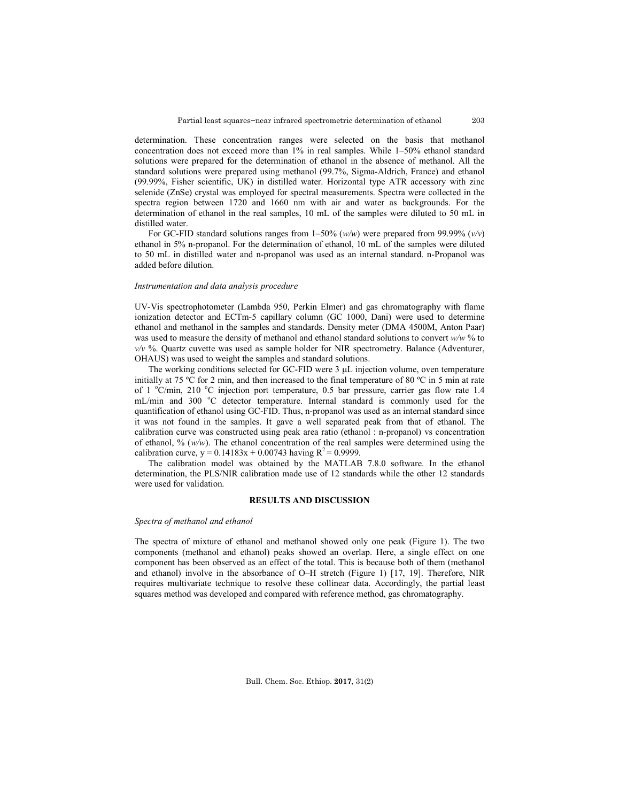determination. These concentration ranges were selected on the basis that methanol concentration does not exceed more than 1% in real samples. While 1–50% ethanol standard solutions were prepared for the determination of ethanol in the absence of methanol. All the standard solutions were prepared using methanol (99.7%, Sigma-Aldrich, France) and ethanol (99.99%, Fisher scientific, UK) in distilled water. Horizontal type ATR accessory with zinc selenide (ZnSe) crystal was employed for spectral measurements. Spectra were collected in the spectra region between 1720 and 1660 nm with air and water as backgrounds. For the determination of ethanol in the real samples, 10 mL of the samples were diluted to 50 mL in distilled water.

For GC-FID standard solutions ranges from 1–50% (*w/w*) were prepared from 99.99% (*v/v*) ethanol in 5% n-propanol. For the determination of ethanol, 10 mL of the samples were diluted to 50 mL in distilled water and n-propanol was used as an internal standard. n-Propanol was added before dilution.

### *Instrumentation and data analysis procedure*

UV-Vis spectrophotometer (Lambda 950, Perkin Elmer) and gas chromatography with flame ionization detector and ECTm-5 capillary column (GC 1000, Dani) were used to determine ethanol and methanol in the samples and standards. Density meter (DMA 4500M, Anton Paar) was used to measure the density of methanol and ethanol standard solutions to convert *w/w* % to *v/v* %. Quartz cuvette was used as sample holder for NIR spectrometry. Balance (Adventurer, OHAUS) was used to weight the samples and standard solutions.

The working conditions selected for GC-FID were  $3 \mu$ L injection volume, oven temperature initially at 75 ºC for 2 min, and then increased to the final temperature of 80 ºC in 5 min at rate of 1 °C/min, 210 °C injection port temperature, 0.5 bar pressure, carrier gas flow rate 1.4 mL/min and 300 °C detector temperature. Internal standard is commonly used for the quantification of ethanol using GC-FID. Thus, n-propanol was used as an internal standard since it was not found in the samples. It gave a well separated peak from that of ethanol. The calibration curve was constructed using peak area ratio (ethanol : n-propanol) vs concentration of ethanol, %  $(w/w)$ . The ethanol concentration of the real samples were determined using the calibration curve,  $y = 0.14183x + 0.00743$  having  $R^2 = 0.9999$ .

The calibration model was obtained by the MATLAB 7.8.0 software. In the ethanol determination, the PLS/NIR calibration made use of 12 standards while the other 12 standards were used for validation.

# **RESULTS AND DISCUSSION**

### *Spectra of methanol and ethanol*

The spectra of mixture of ethanol and methanol showed only one peak (Figure 1). The two components (methanol and ethanol) peaks showed an overlap. Here, a single effect on one component has been observed as an effect of the total. This is because both of them (methanol and ethanol) involve in the absorbance of O–H stretch (Figure 1) [17, 19]. Therefore, NIR requires multivariate technique to resolve these collinear data. Accordingly, the partial least squares method was developed and compared with reference method, gas chromatography.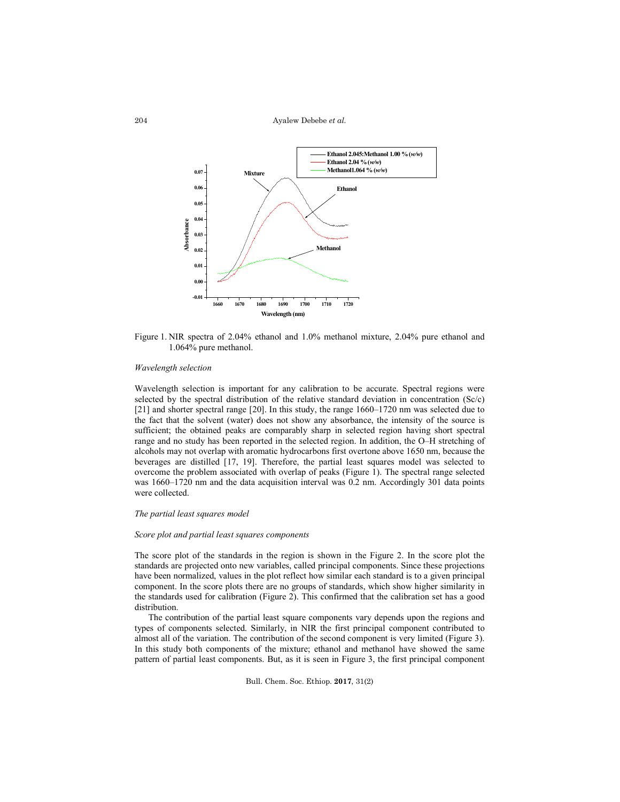Ayalew Debebe *et al.*



Figure 1. NIR spectra of 2.04% ethanol and 1.0% methanol mixture, 2.04% pure ethanol and 1.064% pure methanol.

### *Wavelength selection*

Wavelength selection is important for any calibration to be accurate. Spectral regions were selected by the spectral distribution of the relative standard deviation in concentration (Sc/c) [21] and shorter spectral range [20]. In this study, the range 1660–1720 nm was selected due to the fact that the solvent (water) does not show any absorbance, the intensity of the source is sufficient; the obtained peaks are comparably sharp in selected region having short spectral range and no study has been reported in the selected region. In addition, the O–H stretching of alcohols may not overlap with aromatic hydrocarbons first overtone above 1650 nm, because the beverages are distilled [17, 19]. Therefore, the partial least squares model was selected to overcome the problem associated with overlap of peaks (Figure 1). The spectral range selected was 1660–1720 nm and the data acquisition interval was 0.2 nm. Accordingly 301 data points were collected.

## *The partial least squares model*

### *Score plot and partial least squares components*

The score plot of the standards in the region is shown in the Figure 2. In the score plot the standards are projected onto new variables, called principal components. Since these projections have been normalized, values in the plot reflect how similar each standard is to a given principal component. In the score plots there are no groups of standards, which show higher similarity in the standards used for calibration (Figure 2). This confirmed that the calibration set has a good distribution.

The contribution of the partial least square components vary depends upon the regions and types of components selected. Similarly, in NIR the first principal component contributed to almost all of the variation. The contribution of the second component is very limited (Figure 3). In this study both components of the mixture; ethanol and methanol have showed the same pattern of partial least components. But, as it is seen in Figure 3, the first principal component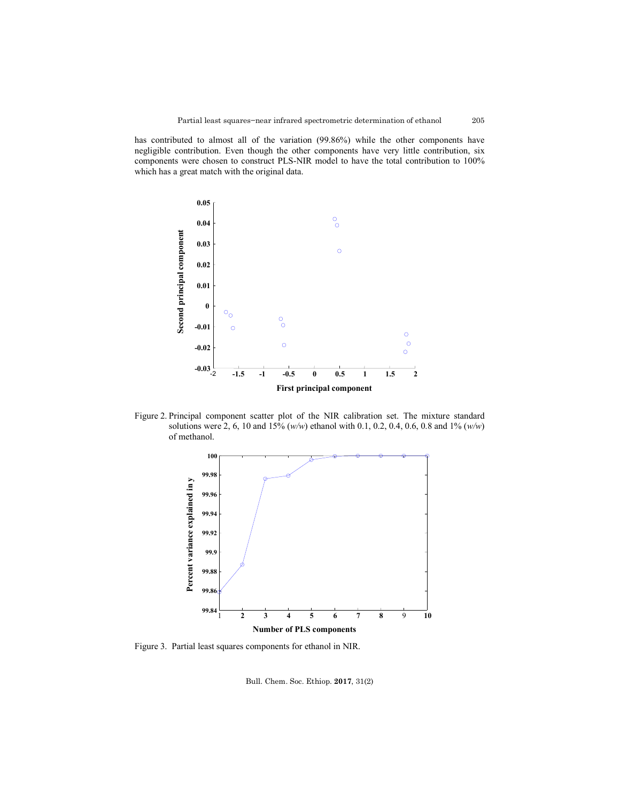has contributed to almost all of the variation (99.86%) while the other components have negligible contribution. Even though the other components have very little contribution, six components were chosen to construct PLS-NIR model to have the total contribution to 100% which has a great match with the original data.



Figure 2. Principal component scatter plot of the NIR calibration set. The mixture standard solutions were 2, 6, 10 and 15% (*w/w*) ethanol with 0.1, 0.2, 0.4, 0.6, 0.8 and 1% (*w/w*) of methanol.



Figure 3. Partial least squares components for ethanol in NIR.

Bull. Chem. Soc. Ethiop. **2017**, 31(2)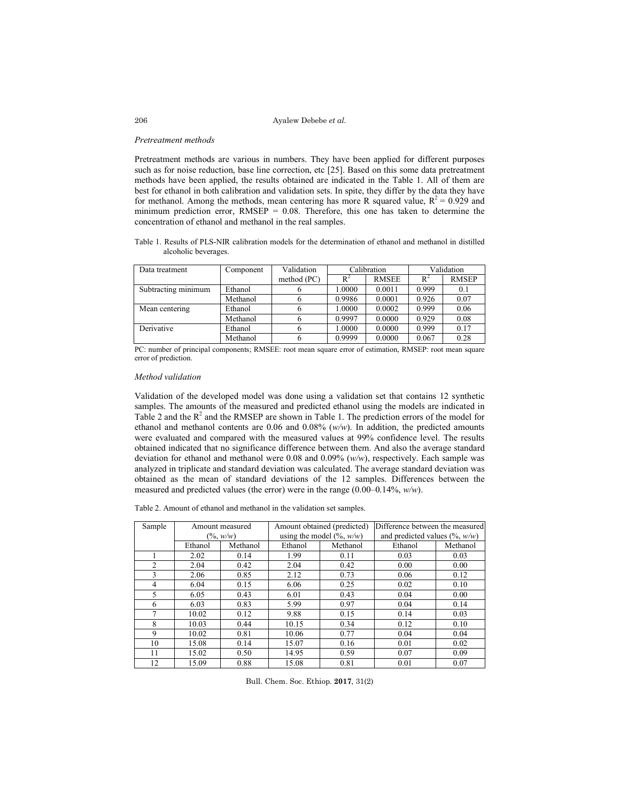Ayalew Debebe *et al.*

#### *Pretreatment methods*

Pretreatment methods are various in numbers. They have been applied for different purposes such as for noise reduction, base line correction, etc [25]. Based on this some data pretreatment methods have been applied, the results obtained are indicated in the Table 1. All of them are best for ethanol in both calibration and validation sets. In spite, they differ by the data they have for methanol. Among the methods, mean centering has more R squared value,  $R^2 = 0.929$  and minimum prediction error,  $RMSEP = 0.08$ . Therefore, this one has taken to determine the concentration of ethanol and methanol in the real samples.

Table 1. Results of PLS-NIR calibration models for the determination of ethanol and methanol in distilled alcoholic beverages.

| Data treatment      | Component | Validation  | Calibration |              | Validation |              |
|---------------------|-----------|-------------|-------------|--------------|------------|--------------|
|                     |           | method (PC) |             | <b>RMSEE</b> | $R^2$      | <b>RMSEP</b> |
| Subtracting minimum | Ethanol   |             | 1.0000      | 0.0011       | 0.999      | 0.1          |
|                     | Methanol  |             | 0.9986      | 0.0001       | 0.926      | 0.07         |
| Mean centering      | Ethanol   |             | 1.0000      | 0.0002       | 0.999      | 0.06         |
|                     | Methanol  |             | 0.9997      | 0.0000       | 0.929      | 0.08         |
| Derivative          | Ethanol   |             | 1.0000      | 0.0000       | 0.999      | 0.17         |
|                     | Methanol  |             | 0.9999      | 0.0000       | 0.067      | 0.28         |

PC: number of principal components; RMSEE: root mean square error of estimation, RMSEP: root mean square error of prediction.

### *Method validation*

Validation of the developed model was done using a validation set that contains 12 synthetic samples. The amounts of the measured and predicted ethanol using the models are indicated in Table 2 and the  $R^2$  and the RMSEP are shown in Table 1. The prediction errors of the model for ethanol and methanol contents are 0.06 and 0.08% (*w/w*). In addition, the predicted amounts were evaluated and compared with the measured values at 99% confidence level. The results obtained indicated that no significance difference between them. And also the average standard deviation for ethanol and methanol were 0.08 and 0.09% (*w/w*), respectively. Each sample was analyzed in triplicate and standard deviation was calculated. The average standard deviation was obtained as the mean of standard deviations of the 12 samples. Differences between the measured and predicted values (the error) were in the range (0.00–0.14%, *w/w*).

Table 2. Amount of ethanol and methanol in the validation set samples.

| Sample         | Amount measured |          | Amount obtained (predicted)    |          | Difference between the measured     |          |
|----------------|-----------------|----------|--------------------------------|----------|-------------------------------------|----------|
|                | $(\% w/w)$      |          | using the model $(\%$ , $w/w)$ |          | and predicted values $(\%$ , $w/w)$ |          |
|                | Ethanol         | Methanol | Ethanol                        | Methanol | Ethanol                             | Methanol |
|                | 2.02            | 0.14     | 1.99                           | 0.11     | 0.03                                | 0.03     |
| $\overline{2}$ | 2.04            | 0.42     | 2.04                           | 0.42     | 0.00                                | 0.00     |
| 3              | 2.06            | 0.85     | 2.12                           | 0.73     | 0.06                                | 0.12     |
| 4              | 6.04            | 0.15     | 6.06                           | 0.25     | 0.02                                | 0.10     |
| 5              | 6.05            | 0.43     | 6.01                           | 0.43     | 0.04                                | 0.00     |
| 6              | 6.03            | 0.83     | 5.99                           | 0.97     | 0.04                                | 0.14     |
| $\mathcal{I}$  | 10.02           | 0.12     | 9.88                           | 0.15     | 0.14                                | 0.03     |
| 8              | 10.03           | 0.44     | 10.15                          | 0.34     | 0.12                                | 0.10     |
| 9              | 10.02           | 0.81     | 10.06                          | 0.77     | 0.04                                | 0.04     |
| 10             | 15.08           | 0.14     | 15.07                          | 0.16     | 0.01                                | 0.02     |
| 11             | 15.02           | 0.50     | 14.95                          | 0.59     | 0.07                                | 0.09     |
| 12             | 15.09           | 0.88     | 15.08                          | 0.81     | 0.01                                | 0.07     |

Bull. Chem. Soc. Ethiop. **2017**, 31(2)

206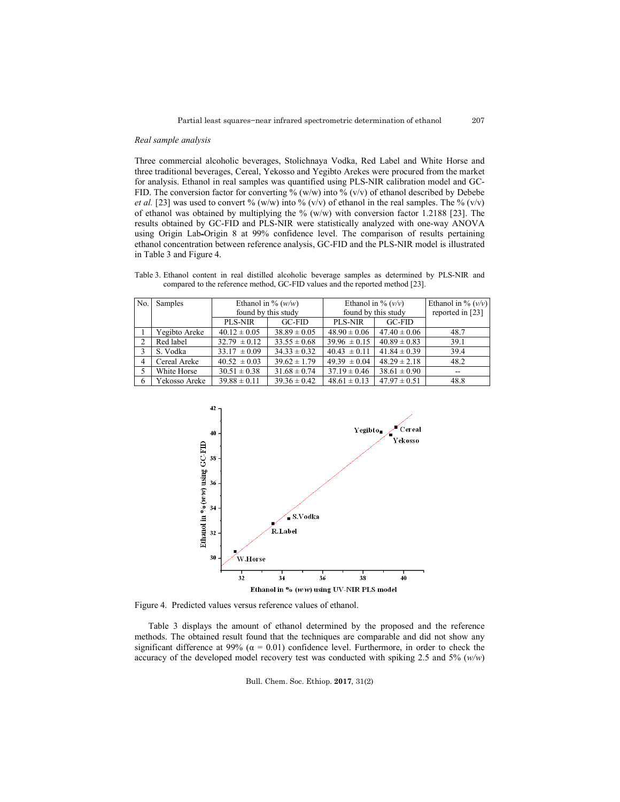207

### *Real sample analysis*

Three commercial alcoholic beverages, Stolichnaya Vodka, Red Label and White Horse and three traditional beverages, Cereal, Yekosso and Yegibto Arekes were procured from the market for analysis. Ethanol in real samples was quantified using PLS-NIR calibration model and GC-FID. The conversion factor for converting % (w/w) into % (v/v) of ethanol described by Debebe *et al.* [23] was used to convert % (w/w) into % (v/v) of ethanol in the real samples. The % (v/v) of ethanol was obtained by multiplying the %  $(w/w)$  with conversion factor 1.2188 [23]. The results obtained by GC-FID and PLS-NIR were statistically analyzed with one-way ANOVA using Origin Lab-Origin 8 at 99% confidence level. The comparison of results pertaining ethanol concentration between reference analysis, GC-FID and the PLS-NIR model is illustrated in Table 3 and Figure 4.

Table 3. Ethanol content in real distilled alcoholic beverage samples as determined by PLS-NIR and compared to the reference method, GC-FID values and the reported method [23].

| No. | Samples       | Ethanol in % $(w/w)$ |                  | Ethanol in % $(\nu/\nu)$ |                  | Ethanol in % $(v/v)$ |
|-----|---------------|----------------------|------------------|--------------------------|------------------|----------------------|
|     |               | found by this study  |                  | found by this study      |                  | reported in [23]     |
|     |               | PLS-NIR              | $GC-FID$         | PLS-NIR                  | $GC-FID$         |                      |
|     | Yegibto Areke | $40.12 \pm 0.05$     | $38.89 \pm 0.05$ | $48.90 \pm 0.06$         | $47.40 \pm 0.06$ | 48.7                 |
| 2   | Red label     | $32.79 \pm 0.12$     | $33.55 \pm 0.68$ | $39.96 \pm 0.15$         | $40.89 \pm 0.83$ | 39.1                 |
| 3   | S. Vodka      | $33.17 \pm 0.09$     | $34.33 \pm 0.32$ | $40.43 \pm 0.11$         | $41.84 \pm 0.39$ | 39.4                 |
| 4   | Cereal Areke  | $40.52 \pm 0.03$     | $39.62 \pm 1.79$ | $49.39 \pm 0.04$         | $48.29 \pm 2.18$ | 48.2                 |
| 5   | White Horse   | $30.51 \pm 0.38$     | $31.68 \pm 0.74$ | $37.19 \pm 0.46$         | $38.61 \pm 0.90$ | $-$                  |
| 6   | Yekosso Areke | $39.88 \pm 0.11$     | $39.36 \pm 0.42$ | $48.61 \pm 0.13$         | $47.97 \pm 0.51$ | 48.8                 |



Figure 4. Predicted values versus reference values of ethanol.

Table 3 displays the amount of ethanol determined by the proposed and the reference methods. The obtained result found that the techniques are comparable and did not show any significant difference at 99% ( $\alpha$  = 0.01) confidence level. Furthermore, in order to check the accuracy of the developed model recovery test was conducted with spiking 2.5 and 5% (*w/w*)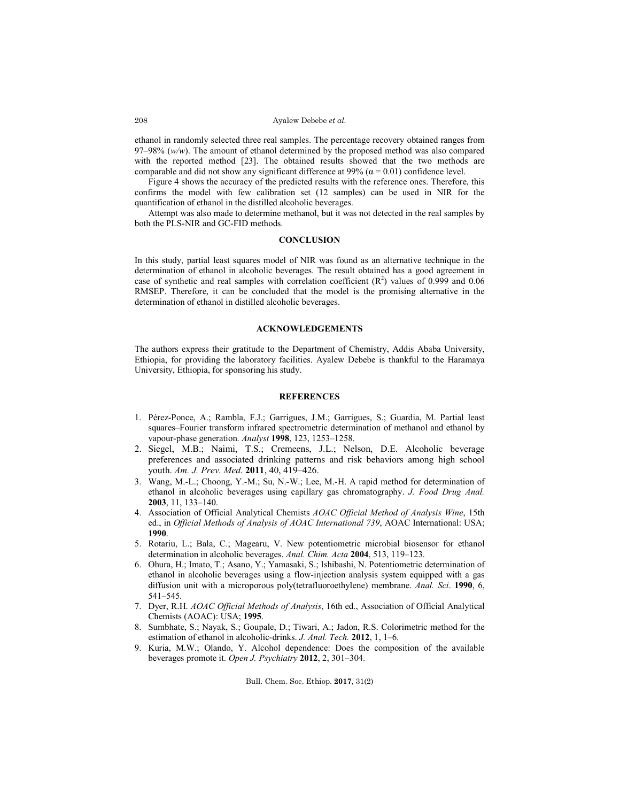#### Ayalew Debebe *et al.*

ethanol in randomly selected three real samples. The percentage recovery obtained ranges from 97–98% (*w/w*). The amount of ethanol determined by the proposed method was also compared with the reported method [23]. The obtained results showed that the two methods are comparable and did not show any significant difference at 99% ( $\alpha$  = 0.01) confidence level.

Figure 4 shows the accuracy of the predicted results with the reference ones. Therefore, this confirms the model with few calibration set (12 samples) can be used in NIR for the quantification of ethanol in the distilled alcoholic beverages.

Attempt was also made to determine methanol, but it was not detected in the real samples by both the PLS-NIR and GC-FID methods.

## **CONCLUSION**

In this study, partial least squares model of NIR was found as an alternative technique in the determination of ethanol in alcoholic beverages. The result obtained has a good agreement in case of synthetic and real samples with correlation coefficient  $(R^2)$  values of 0.999 and 0.06 RMSEP. Therefore, it can be concluded that the model is the promising alternative in the determination of ethanol in distilled alcoholic beverages.

## **ACKNOWLEDGEMENTS**

The authors express their gratitude to the Department of Chemistry, Addis Ababa University, Ethiopia, for providing the laboratory facilities. Ayalew Debebe is thankful to the Haramaya University, Ethiopia, for sponsoring his study.

# **REFERENCES**

- 1. Pérez-Ponce, A.; Rambla, F.J.; Garrigues, J.M.; Garrigues, S.; Guardia, M. Partial least squares–Fourier transform infrared spectrometric determination of methanol and ethanol by vapour-phase generation. *Analyst* **1998**, 123, 1253–1258.
- 2. Siegel, M.B.; Naimi, T.S.; Cremeens, J.L.; Nelson, D.E. Alcoholic beverage preferences and associated drinking patterns and risk behaviors among high school youth. *Am. J. Prev. Med*. **2011**, 40, 419–426.
- 3. Wang, M.-L.; Choong, Y.-M.; Su, N.-W.; Lee, M.-H. A rapid method for determination of ethanol in alcoholic beverages using capillary gas chromatography. *J. Food Drug Anal.* **2003**, 11, 133–140.
- 4. Association of Official Analytical Chemists *AOAC Official Method of Analysis Wine*, 15th ed., in *Official Methods of Analysis of AOAC International 739*, AOAC International: USA; **1990**.
- 5. Rotariu, L.; Bala, C.; Magearu, V. New potentiometric microbial biosensor for ethanol determination in alcoholic beverages. *Anal. Chim. Acta* **2004**, 513, 119–123.
- 6. Ohura, H.; Imato, T.; Asano, Y.; Yamasaki, S.; Ishibashi, N. Potentiometric determination of ethanol in alcoholic beverages using a flow-injection analysis system equipped with a gas diffusion unit with a microporous poly(tetrafluoroethylene) membrane. *Anal. Sci*. **1990**, 6, 541–545.
- 7. Dyer, R.H. *AOAC Official Methods of Analysis*, 16th ed., Association of Official Analytical Chemists (AOAC): USA; **1995**.
- 8. Sumbhate, S.; Nayak, S.; Goupale, D.; Tiwari, A.; Jadon, R.S. Colorimetric method for the estimation of ethanol in alcoholic-drinks. *J. Anal. Tech.* **2012**, 1, 1–6.
- 9. Kuria, M.W.; Olando, Y. Alcohol dependence: Does the composition of the available beverages promote it. *Open J. Psychiatry* **2012**, 2, 301–304.